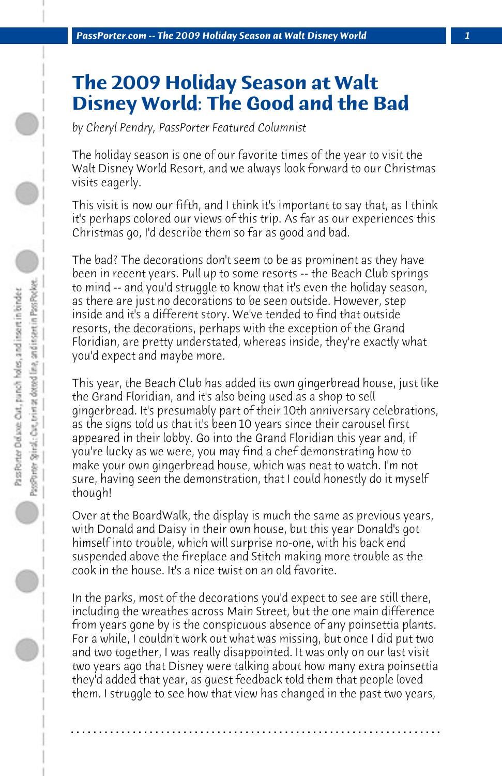## **The 2009 Holiday Season at Walt Disney World: The Good and the Bad**

*by Cheryl Pendry, PassPorter Featured Columnist*

The holiday season is one of our favorite times of the year to visit the Walt Disney World Resort, and we always look forward to our Christmas visits eagerly.

This visit is now our fifth, and I think it's important to say that, as I think it's perhaps colored our views of this trip. As far as our experiences this Christmas go, I'd describe them so far as good and bad.

The bad? The decorations don't seem to be as prominent as they have been in recent years. Pull up to some resorts -- the Beach Club springs to mind -- and you'd struggle to know that it's even the holiday season, as there are just no decorations to be seen outside. However, step inside and it's a different story. We've tended to find that outside resorts, the decorations, perhaps with the exception of the Grand Floridian, are pretty understated, whereas inside, they're exactly what you'd expect and maybe more.

This year, the Beach Club has added its own gingerbread house, just like the Grand Floridian, and it's also being used as a shop to sell gingerbread. It's presumably part of their 10th anniversary celebrations, as the signs told us that it's been 10 years since their carousel first appeared in their lobby. Go into the Grand Floridian this year and, if you're lucky as we were, you may find a chef demonstrating how to make your own gingerbread house, which was neat to watch. I'm not sure, having seen the demonstration, that I could honestly do it myself though!

Over at the BoardWalk, the display is much the same as previous years, with Donald and Daisy in their own house, but this year Donald's got himself into trouble, which will surprise no-one, with his back end suspended above the fireplace and Stitch making more trouble as the cook in the house. It's a nice twist on an old favorite.

In the parks, most of the decorations you'd expect to see are still there, including the wreathes across Main Street, but the one main difference from years gone by is the conspicuous absence of any poinsettia plants. For a while, I couldn't work out what was missing, but once I did put two and two together, I was really disappointed. It was only on our last visit two years ago that Disney were talking about how many extra poinsettia they'd added that year, as guest feedback told them that people loved them. I struggle to see how that view has changed in the past two years,

**. . . . . . . . . . . . . . . . . . . . . . . . . . . . . . . . . . . . . . . . . . . . . . . . . . . . . . . . . . . . . . . . . .**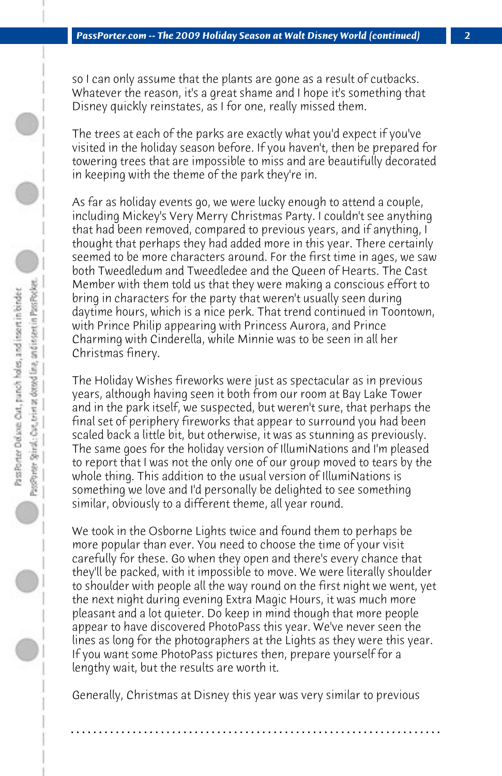so I can only assume that the plants are gone as a result of cutbacks. Whatever the reason, it's a great shame and I hope it's something that Disney quickly reinstates, as I for one, really missed them.

The trees at each of the parks are exactly what you'd expect if you've visited in the holiday season before. If you haven't, then be prepared for towering trees that are impossible to miss and are beautifully decorated in keeping with the theme of the park they're in.

As far as holiday events go, we were lucky enough to attend a couple, including Mickey's Very Merry Christmas Party. I couldn't see anything that had been removed, compared to previous years, and if anything, I thought that perhaps they had added more in this year. There certainly seemed to be more characters around. For the first time in ages, we saw both Tweedledum and Tweedledee and the Queen of Hearts. The Cast Member with them told us that they were making a conscious effort to bring in characters for the party that weren't usually seen during daytime hours, which is a nice perk. That trend continued in Toontown, with Prince Philip appearing with Princess Aurora, and Prince Charming with Cinderella, while Minnie was to be seen in all her Christmas finery.

The Holiday Wishes fireworks were just as spectacular as in previous years, although having seen it both from our room at Bay Lake Tower and in the park itself, we suspected, but weren't sure, that perhaps the final set of periphery fireworks that appear to surround you had been scaled back a little bit, but otherwise, it was as stunning as previously. The same goes for the holiday version of IllumiNations and I'm pleased to report that I was not the only one of our group moved to tears by the whole thing. This addition to the usual version of IllumiNations is something we love and I'd personally be delighted to see something similar, obviously to a different theme, all year round.

We took in the Osborne Lights twice and found them to perhaps be more popular than ever. You need to choose the time of your visit carefully for these. Go when they open and there's every chance that they'll be packed, with it impossible to move. We were literally shoulder to shoulder with people all the way round on the first night we went, yet the next night during evening Extra Magic Hours, it was much more pleasant and a lot quieter. Do keep in mind though that more people appear to have discovered PhotoPass this year. We've never seen the lines as long for the photographers at the Lights as they were this year. If you want some PhotoPass pictures then, prepare yourself for a lengthy wait, but the results are worth it.

Generally, Christmas at Disney this year was very similar to previous

**. . . . . . . . . . . . . . . . . . . . . . . . . . . . . . . . . . . . . . . . . . . . . . . . . . . . . . . . . . . . . . . . . .**